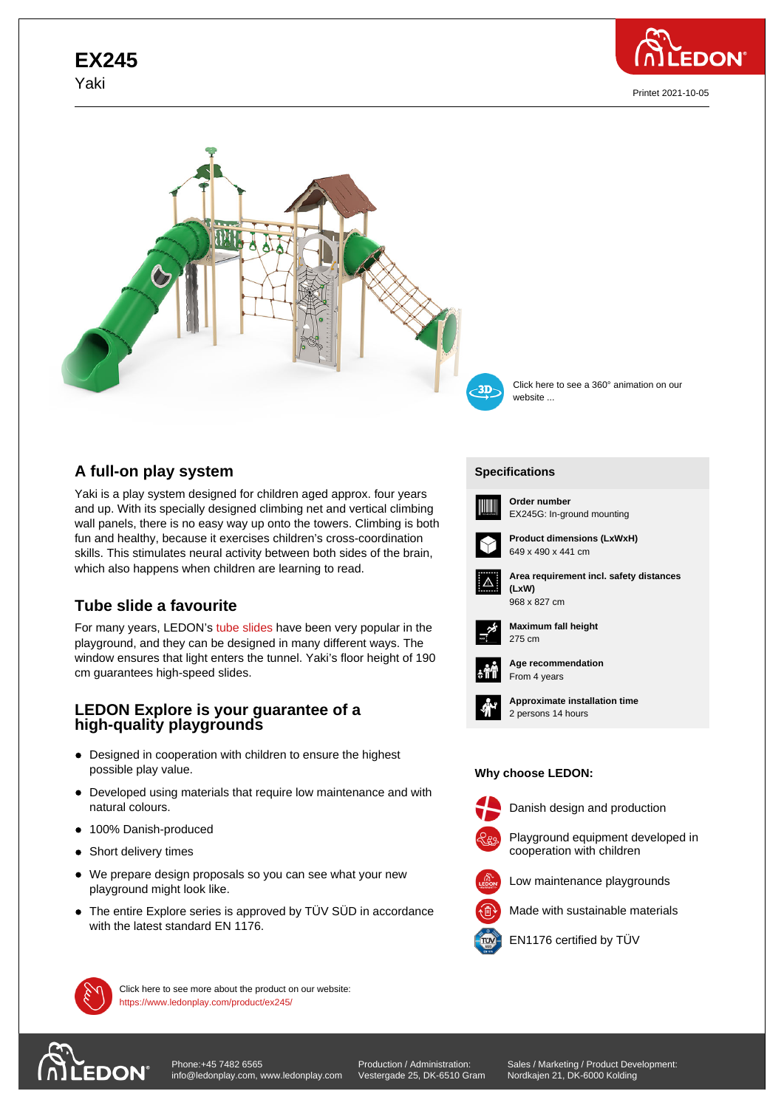# **EX245** Yaki



Printet 2021-10-05



## **A full-on play system**

Yaki is a play system designed for children aged approx. four years and up. With its specially designed climbing net and vertical climbing wall panels, there is no easy way up onto the towers. Climbing is both fun and healthy, because it exercises children's cross-coordination skills. This stimulates neural activity between both sides of the brain, which also happens when children are learning to read.

## **Tube slide a favourite**

For many years, LEDON's tube slides have been very popular in the playground, and they can be designed in many different ways. The window ensures that light enters the tunnel. Yaki's floor height of 190 cm guarantees high-speed slides.

### **LEDON Explore is your guarantee of a high-quality playgrounds**

- Designed in cooperation with children to ensure the highest possible play value.
- Developed using materials that require low maintenance and with natural colours.
- 100% Danish-produced
- Short delivery times
- We prepare design proposals so you can see what your new playground might look like.
- The entire Explore series is approved by TÜV SÜD in accordance with the latest standard EN 1176.



Click here to see a 360° animation on our website ...

### **[Specific](https://www.ledonplay.com/product/ex245/)ations [Speci](https://www.ledonplay.com/product/ex245/)fications**



**Order number** EX245G: In-ground mounting





**Area requirement incl. safety distances (LxW) (LxW)** 968 x 827 cm



**Maximum fall height** 275 cm 275 cm



**Age recommendation** From 4 years



**Approximate installation time** 2 persons 14 hours

#### **Why choose LEDON: Why choose LEDON:**



Danish design and production







Made with sustainable materials



EN1176 certified by TÜV



Click here to see more about the product on our website: https://www.ledonplay.com/product/ex245/